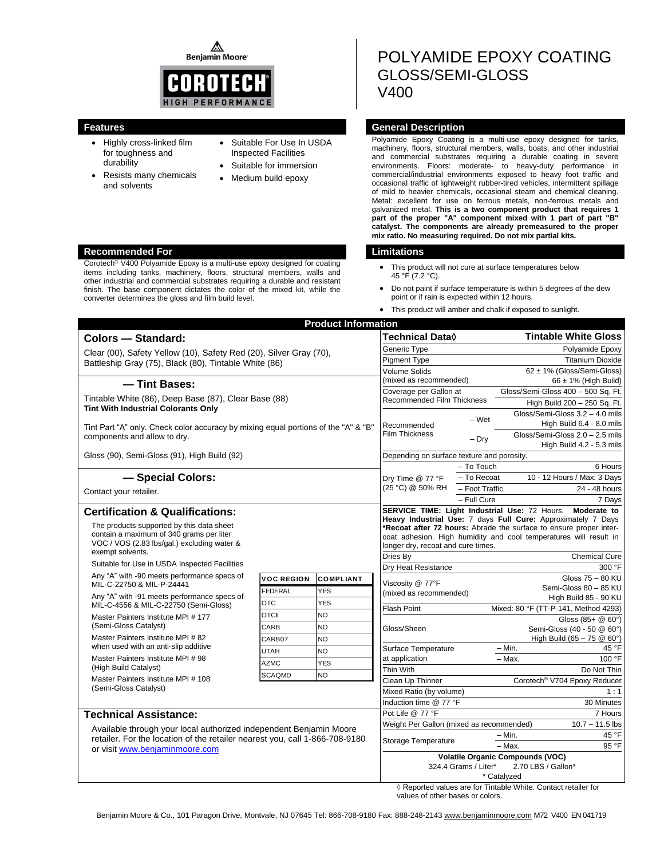⚠ **Benjamin Moore** 



Corotech® V400 Polyamide Epoxy is a multi-use epoxy designed for coating items including tanks, machinery, floors, structural members, walls and other industrial and commercial substrates requiring a durable and resistant finish. The base component dictates the color of the mixed kit, while the

converter determines the gloss and film build level.

- Highly cross-linked film for toughness and durability
- Resists many chemicals and solvents
- Suitable For Use In USDA Inspected Facilities
- Suitable for immersion
- Medium build epoxy

# POLYAMIDE EPOXY COATING GLOSS/SEMI-GLOSS V400

#### **Features General Description**

Polyamide Epoxy Coating is a multi-use epoxy designed for tanks, machinery, floors, structural members, walls, boats, and other industrial and commercial substrates requiring a durable coating in severe environments. Floors: moderate- to heavy-duty performance in commercial/industrial environments exposed to heavy foot traffic and occasional traffic of lightweight rubber-tired vehicles, intermittent spillage of mild to heavier chemicals, occasional steam and chemical cleaning. Metal: excellent for use on ferrous metals, non-ferrous metals and galvanized metal. **This is a two component product that requires 1 part of the proper "A" component mixed with 1 part of part "B" catalyst. The components are already premeasured to the proper mix ratio. No measuring required. Do not mix partial kits.**

#### **Recommended For Limitations**

- This product will not cure at surface temperatures below 45 °F (7.2 °C).
- Do not paint if surface temperature is within 5 degrees of the dew point or if rain is expected within 12 hours.
- This product will amber and chalk if exposed to sunlight.

|                                                                                                                                                                                     |                                            | <b>Product Information</b> |                                                                                                                                                                                                         |                                                            |                                    |                              |
|-------------------------------------------------------------------------------------------------------------------------------------------------------------------------------------|--------------------------------------------|----------------------------|---------------------------------------------------------------------------------------------------------------------------------------------------------------------------------------------------------|------------------------------------------------------------|------------------------------------|------------------------------|
| Colors - Standard:                                                                                                                                                                  | Technical Data◊                            |                            |                                                                                                                                                                                                         | <b>Tintable White Gloss</b>                                |                                    |                              |
| Clear (00), Safety Yellow (10), Safety Red (20), Silver Gray (70),                                                                                                                  | Generic Type                               |                            |                                                                                                                                                                                                         | Polyamide Epoxy                                            |                                    |                              |
| Battleship Gray (75), Black (80), Tintable White (86)                                                                                                                               |                                            |                            | Pigment Type                                                                                                                                                                                            |                                                            | <b>Titanium Dioxide</b>            |                              |
|                                                                                                                                                                                     | <b>Volume Solids</b>                       |                            | 62 ± 1% (Gloss/Semi-Gloss)                                                                                                                                                                              |                                                            |                                    |                              |
| - Tint Bases:                                                                                                                                                                       | (mixed as recommended)                     |                            | $66 \pm 1\%$ (High Build)                                                                                                                                                                               |                                                            |                                    |                              |
| Tintable White (86), Deep Base (87), Clear Base (88)<br><b>Tint With Industrial Colorants Only</b>                                                                                  |                                            |                            | Coverage per Gallon at<br><b>Recommended Film Thickness</b>                                                                                                                                             |                                                            | Gloss/Semi-Gloss 400 - 500 Sq. Ft. |                              |
|                                                                                                                                                                                     |                                            |                            |                                                                                                                                                                                                         |                                                            | High Build 200 - 250 Sq. Ft.       |                              |
|                                                                                                                                                                                     |                                            |                            | Recommended<br><b>Film Thickness</b>                                                                                                                                                                    | – Wet                                                      | Gloss/Semi-Gloss 3.2 - 4.0 mils    |                              |
| Tint Part "A" only. Check color accuracy by mixing equal portions of the "A" & "B"<br>components and allow to dry.<br>Gloss (90), Semi-Gloss (91), High Build (92)                  |                                            |                            |                                                                                                                                                                                                         |                                                            | High Build 6.4 - 8.0 mils          |                              |
|                                                                                                                                                                                     |                                            |                            |                                                                                                                                                                                                         | $-$ Dry                                                    | Gloss/Semi-Gloss 2.0 - 2.5 mils    |                              |
|                                                                                                                                                                                     |                                            |                            |                                                                                                                                                                                                         |                                                            | High Build 4.2 - 5.3 mils          |                              |
|                                                                                                                                                                                     |                                            |                            | Depending on surface texture and porosity.                                                                                                                                                              |                                                            |                                    |                              |
|                                                                                                                                                                                     |                                            |                            |                                                                                                                                                                                                         | - To Touch<br>6 Hours                                      |                                    |                              |
| - Special Colors:                                                                                                                                                                   |                                            |                            | Dry Time @ 77 °F                                                                                                                                                                                        | - To Recoat                                                |                                    | 10 - 12 Hours / Max: 3 Days  |
| Contact your retailer.                                                                                                                                                              |                                            |                            | (25 °C) @ 50% RH                                                                                                                                                                                        | - Foot Traffic                                             |                                    | 24 - 48 hours                |
|                                                                                                                                                                                     |                                            |                            |                                                                                                                                                                                                         | - Full Cure                                                |                                    | 7 Days                       |
| <b>Certification &amp; Qualifications:</b>                                                                                                                                          |                                            |                            | SERVICE TIME: Light Industrial Use: 72 Hours.                                                                                                                                                           |                                                            |                                    | Moderate to                  |
| The products supported by this data sheet                                                                                                                                           |                                            |                            | Heavy Industrial Use: 7 days Full Cure: Approximately 7 Days<br>*Recoat after 72 hours: Abrade the surface to ensure proper inter-<br>coat adhesion. High humidity and cool temperatures will result in |                                                            |                                    |                              |
| contain a maximum of 340 grams per liter                                                                                                                                            |                                            |                            |                                                                                                                                                                                                         |                                                            |                                    |                              |
| VOC / VOS (2.83 lbs/gal.) excluding water &                                                                                                                                         | longer dry, recoat and cure times.         |                            |                                                                                                                                                                                                         |                                                            |                                    |                              |
| exempt solvents.                                                                                                                                                                    |                                            |                            | Dries By                                                                                                                                                                                                |                                                            |                                    | <b>Chemical Cure</b>         |
| Suitable for Use in USDA Inspected Facilities                                                                                                                                       |                                            |                            | Dry Heat Resistance                                                                                                                                                                                     |                                                            |                                    | 300 °F                       |
| Any "A" with -90 meets performance specs of                                                                                                                                         | <b>VOC REGION</b>                          | <b>COMPLIANT</b>           | Viscosity @ 77°F<br>(mixed as recommended)                                                                                                                                                              |                                                            |                                    | Gloss 75 - 80 KU             |
| MIL-C-22750 & MIL-P-24441                                                                                                                                                           | <b>FEDERAL</b>                             | <b>YES</b>                 |                                                                                                                                                                                                         |                                                            | Semi-Gloss 80 - 85 KU              |                              |
| Any "A" with -91 meets performance specs of<br>MIL-C-4556 & MIL-C-22750 (Semi-Gloss)                                                                                                | <b>OTC</b>                                 | <b>YES</b>                 |                                                                                                                                                                                                         |                                                            | High Build 85 - 90 KU              |                              |
| Master Painters Institute MPI # 177                                                                                                                                                 | <b>OTCII</b>                               | <b>NO</b>                  |                                                                                                                                                                                                         | Mixed: 80 °F (TT-P-141, Method 4293)<br><b>Flash Point</b> |                                    |                              |
| (Semi-Gloss Catalyst)                                                                                                                                                               | CARB                                       | <b>NO</b>                  |                                                                                                                                                                                                         | Gloss/Sheen<br>Semi-Gloss (40 - 50 @ 60°)                  |                                    | Gloss (85+ @ 60°)            |
| Master Painters Institute MPI #82                                                                                                                                                   | CARB07                                     | <b>NO</b>                  |                                                                                                                                                                                                         |                                                            |                                    | High Build (65 - 75 @ 60°)   |
| when used with an anti-slip additive                                                                                                                                                | <b>UTAH</b>                                | <b>NO</b>                  | Surface Temperature                                                                                                                                                                                     |                                                            | $-$ Min.                           | 45 °F                        |
| Master Painters Institute MPI #98                                                                                                                                                   |                                            |                            | at application                                                                                                                                                                                          |                                                            | $-$ Max.                           | 100 °F                       |
| (High Build Catalyst)                                                                                                                                                               | <b>AZMC</b>                                | <b>YES</b>                 | Thin With                                                                                                                                                                                               |                                                            |                                    | Do Not Thin                  |
| Master Painters Institute MPI #108                                                                                                                                                  | <b>SCAQMD</b>                              | <b>NO</b>                  | Clean Up Thinner                                                                                                                                                                                        |                                                            |                                    | Corotech® V704 Epoxy Reducer |
| (Semi-Gloss Catalyst)                                                                                                                                                               |                                            |                            | Mixed Ratio (by volume)                                                                                                                                                                                 |                                                            | 1:1                                |                              |
|                                                                                                                                                                                     |                                            |                            | Induction time @ 77 °F                                                                                                                                                                                  |                                                            |                                    | 30 Minutes                   |
| <b>Technical Assistance:</b>                                                                                                                                                        |                                            |                            | Pot Life @ 77 °F                                                                                                                                                                                        |                                                            |                                    | 7 Hours                      |
|                                                                                                                                                                                     |                                            |                            | Weight Per Gallon (mixed as recommended)                                                                                                                                                                |                                                            |                                    | $10.7 - 11.5$ lbs            |
| Available through your local authorized independent Benjamin Moore<br>retailer. For the location of the retailer nearest you, call 1-866-708-9180<br>or visit www.benjaminmoore.com |                                            |                            | Storage Temperature                                                                                                                                                                                     |                                                            | $-$ Min.                           | 45 °F                        |
|                                                                                                                                                                                     |                                            |                            |                                                                                                                                                                                                         |                                                            | $-$ Max.                           | 95 °F                        |
|                                                                                                                                                                                     | <b>Volatile Organic Compounds (VOC)</b>    |                            |                                                                                                                                                                                                         |                                                            |                                    |                              |
|                                                                                                                                                                                     | 324.4 Grams / Liter*<br>2.70 LBS / Gallon* |                            |                                                                                                                                                                                                         |                                                            |                                    |                              |
|                                                                                                                                                                                     |                                            |                            | * Catalyzed                                                                                                                                                                                             |                                                            |                                    |                              |

◊ Reported values are for Tintable White. Contact retailer for values of other bases or colors.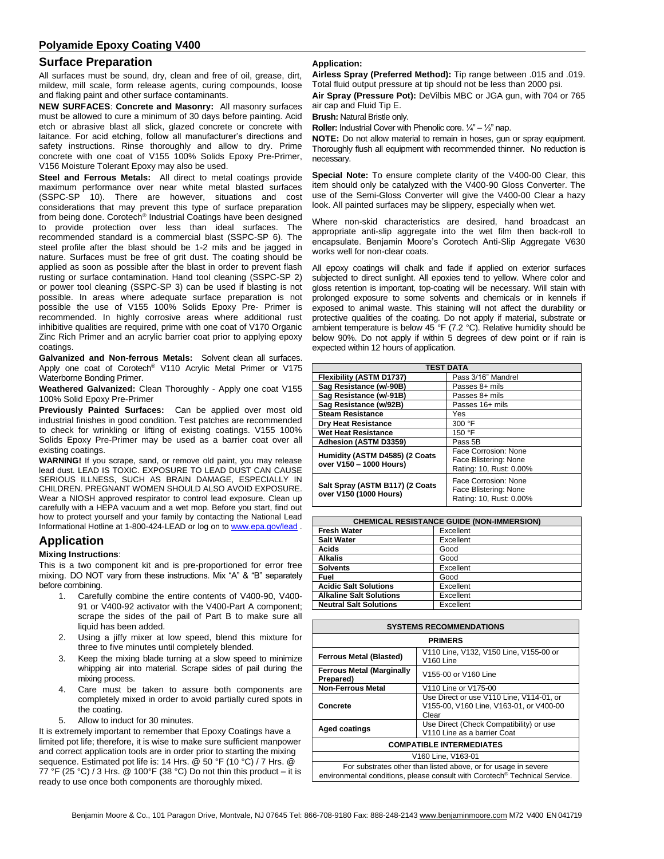## **Surface Preparation**

All surfaces must be sound, dry, clean and free of oil, grease, dirt, mildew, mill scale, form release agents, curing compounds, loose and flaking paint and other surface contaminants.

**NEW SURFACES**: **Concrete and Masonry:** All masonry surfaces must be allowed to cure a minimum of 30 days before painting. Acid etch or abrasive blast all slick, glazed concrete or concrete with laitance. For acid etching, follow all manufacturer's directions and safety instructions. Rinse thoroughly and allow to dry. Prime concrete with one coat of V155 100% Solids Epoxy Pre-Primer, V156 Moisture Tolerant Epoxy may also be used.

**Steel and Ferrous Metals:** All direct to metal coatings provide maximum performance over near white metal blasted surfaces (SSPC-SP 10). There are however, situations and cost considerations that may prevent this type of surface preparation from being done. Corotech® Industrial Coatings have been designed to provide protection over less than ideal surfaces. The recommended standard is a commercial blast (SSPC-SP 6). The steel profile after the blast should be 1-2 mils and be jagged in nature. Surfaces must be free of grit dust. The coating should be applied as soon as possible after the blast in order to prevent flash rusting or surface contamination. Hand tool cleaning (SSPC-SP 2) or power tool cleaning (SSPC-SP 3) can be used if blasting is not possible. In areas where adequate surface preparation is not possible the use of V155 100% Solids Epoxy Pre- Primer is recommended. In highly corrosive areas where additional rust inhibitive qualities are required, prime with one coat of V170 Organic Zinc Rich Primer and an acrylic barrier coat prior to applying epoxy coatings.

**Galvanized and Non-ferrous Metals:** Solvent clean all surfaces. Apply one coat of Corotech® V110 Acrylic Metal Primer or V175 Waterborne Bonding Primer.

**Weathered Galvanized:** Clean Thoroughly - Apply one coat V155 100% Solid Epoxy Pre-Primer

**Previously Painted Surfaces:** Can be applied over most old industrial finishes in good condition. Test patches are recommended to check for wrinkling or lifting of existing coatings. V155 100% Solids Epoxy Pre-Primer may be used as a barrier coat over all existing coatings.

**WARNING!** If you scrape, sand, or remove old paint, you may release lead dust. LEAD IS TOXIC. EXPOSURE TO LEAD DUST CAN CAUSE SERIOUS ILLNESS, SUCH AS BRAIN DAMAGE, ESPECIALLY IN CHILDREN. PREGNANT WOMEN SHOULD ALSO AVOID EXPOSURE. Wear a NIOSH approved respirator to control lead exposure. Clean up carefully with a HEPA vacuum and a wet mop. Before you start, find out how to protect yourself and your family by contacting the National Lead Informational Hotline at 1-800-424-LEAD or log on t[o www.epa.gov/lead](http://www.epa.gov/lead) .

# **Application**

### **Mixing Instructions**:

This is a two component kit and is pre-proportioned for error free mixing. DO NOT vary from these instructions. Mix "A" & "B" separately before combining.

- 1. Carefully combine the entire contents of V400-90, V400- 91 or V400-92 activator with the V400-Part A component; scrape the sides of the pail of Part B to make sure all liquid has been added.
- 2. Using a jiffy mixer at low speed, blend this mixture for three to five minutes until completely blended.
- Keep the mixing blade turning at a slow speed to minimize whipping air into material. Scrape sides of pail during the mixing process.
- 4. Care must be taken to assure both components are completely mixed in order to avoid partially cured spots in the coating.
- 5. Allow to induct for 30 minutes.

It is extremely important to remember that Epoxy Coatings have a limited pot life; therefore, it is wise to make sure sufficient manpower and correct application tools are in order prior to starting the mixing sequence. Estimated pot life is: 14 Hrs. @ 50 °F (10 °C) / 7 Hrs. @ 77 °F (25 °C) / 3 Hrs. @ 100°F (38 °C) Do not thin this product – it is ready to use once both components are thoroughly mixed.

#### **Application:**

**Airless Spray (Preferred Method):** Tip range between .015 and .019. Total fluid output pressure at tip should not be less than 2000 psi.

**Air Spray (Pressure Pot):** DeVilbis MBC or JGA gun, with 704 or 765 air cap and Fluid Tip E.

**Brush:** Natural Bristle only.

**Roller:** Industrial Cover with Phenolic core.  $\frac{1}{4} - \frac{1}{2}$  nap.

**NOTE:** Do not allow material to remain in hoses, gun or spray equipment. Thoroughly flush all equipment with recommended thinner. No reduction is necessary.

**Special Note:** To ensure complete clarity of the V400-00 Clear, this item should only be catalyzed with the V400-90 Gloss Converter. The use of the Semi-Gloss Converter will give the V400-00 Clear a hazy look. All painted surfaces may be slippery, especially when wet.

Where non-skid characteristics are desired, hand broadcast an appropriate anti-slip aggregate into the wet film then back-roll to encapsulate. Benjamin Moore's Corotech Anti-Slip Aggregate V630 works well for non-clear coats.

All epoxy coatings will chalk and fade if applied on exterior surfaces subjected to direct sunlight. All epoxies tend to yellow. Where color and gloss retention is important, top-coating will be necessary. Will stain with prolonged exposure to some solvents and chemicals or in kennels if exposed to animal waste. This staining will not affect the durability or protective qualities of the coating. Do not apply if material, substrate or ambient temperature is below 45 °F (7.2 °C). Relative humidity should be below 90%. Do not apply if within 5 degrees of dew point or if rain is expected within 12 hours of application.

| <b>TEST DATA</b>                                          |                                                                          |  |  |  |
|-----------------------------------------------------------|--------------------------------------------------------------------------|--|--|--|
| Flexibility (ASTM D1737)                                  | Pass 3/16" Mandrel                                                       |  |  |  |
| Sag Resistance (w/-90B)                                   | Passes 8+ mils                                                           |  |  |  |
| Sag Resistance (w/-91B)                                   | Passes 8+ mils                                                           |  |  |  |
| Sag Resistance (w/92B)                                    | Passes 16+ mils                                                          |  |  |  |
| <b>Steam Resistance</b>                                   | Yes                                                                      |  |  |  |
| <b>Dry Heat Resistance</b>                                | 300 °F                                                                   |  |  |  |
| <b>Wet Heat Resistance</b>                                | 150 °F                                                                   |  |  |  |
| Adhesion (ASTM D3359)                                     | Pass 5B                                                                  |  |  |  |
| Humidity (ASTM D4585) (2 Coats<br>over V150 - 1000 Hours) | Face Corrosion: None<br>Face Blistering: None<br>Rating: 10, Rust: 0.00% |  |  |  |
| Salt Spray (ASTM B117) (2 Coats<br>over V150 (1000 Hours) | Face Corrosion: None<br>Face Blistering: None<br>Rating: 10, Rust: 0.00% |  |  |  |

| <b>CHEMICAL RESISTANCE GUIDE (NON-IMMERSION)</b> |           |  |  |  |
|--------------------------------------------------|-----------|--|--|--|
| <b>Fresh Water</b>                               | Excellent |  |  |  |
| <b>Salt Water</b>                                | Excellent |  |  |  |
| Acids                                            | Good      |  |  |  |
| <b>Alkalis</b>                                   | Good      |  |  |  |
| <b>Solvents</b>                                  | Excellent |  |  |  |
| Fuel                                             | Good      |  |  |  |
| <b>Acidic Salt Solutions</b>                     | Excellent |  |  |  |
| <b>Alkaline Salt Solutions</b>                   | Excellent |  |  |  |
| <b>Neutral Salt Solutions</b>                    | Excellent |  |  |  |

| <b>SYSTEMS RECOMMENDATIONS</b>                                                                                                                           |                                                                                              |  |  |  |
|----------------------------------------------------------------------------------------------------------------------------------------------------------|----------------------------------------------------------------------------------------------|--|--|--|
| <b>PRIMERS</b>                                                                                                                                           |                                                                                              |  |  |  |
| <b>Ferrous Metal (Blasted)</b>                                                                                                                           | V110 Line, V132, V150 Line, V155-00 or<br>V <sub>160</sub> Line                              |  |  |  |
| <b>Ferrous Metal (Marginally</b><br>Prepared)                                                                                                            | V155-00 or V160 Line                                                                         |  |  |  |
| <b>Non-Ferrous Metal</b>                                                                                                                                 | V110 Line or V175-00                                                                         |  |  |  |
| Concrete                                                                                                                                                 | Use Direct or use V110 Line, V114-01, or<br>V155-00, V160 Line, V163-01, or V400-00<br>Clear |  |  |  |
| <b>Aged coatings</b>                                                                                                                                     | Use Direct (Check Compatibility) or use<br>V110 Line as a barrier Coat                       |  |  |  |
| <b>COMPATIBLE INTERMEDIATES</b>                                                                                                                          |                                                                                              |  |  |  |
| V160 Line, V163-01                                                                                                                                       |                                                                                              |  |  |  |
| For substrates other than listed above, or for usage in severe<br>environmental conditions, please consult with Corotech <sup>®</sup> Technical Service. |                                                                                              |  |  |  |